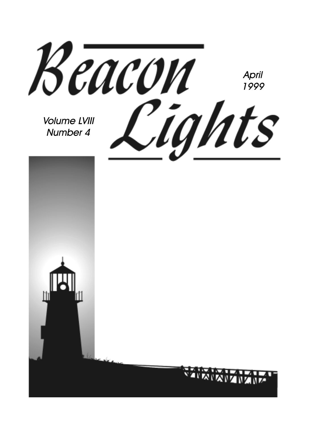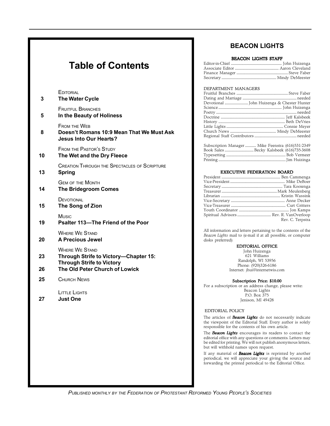## **Table of Contents**

| 3  | EDITORIAL<br><b>The Water Cycle</b>                                                                |
|----|----------------------------------------------------------------------------------------------------|
| 5  | <b>FRUITFUL BRANCHES</b><br>In the Beauty of Holiness                                              |
| 8  | <b>FROM THE WEB</b><br>Doesn't Romans 10:9 Mean That We Must Ask<br><b>Jesus Into Our Hearts?</b>  |
| 10 | <b>FROM THE PASTOR'S STUDY</b><br>The Wet and the Dry Fleece                                       |
| 13 | <b>CREATION THROUGH THE SPECTACLES OF SCRIPTURE</b><br><b>Spring</b>                               |
| 14 | <b>GEM OF THE MONTH</b><br><b>The Bridegroom Comes</b>                                             |
| 15 | DEVOTIONAL<br>The Song of Zion                                                                     |
| 19 | Music<br>Psalter 113-The Friend of the Poor                                                        |
| 20 | <b>WHERE WE STAND</b><br><b>A Precious Jewel</b>                                                   |
| 23 | <b>WHERE WE STAND</b><br>Through Strife to Victory-Chapter 15:<br><b>Through Strife to Victory</b> |
| 26 | The Old Peter Church of Lowick                                                                     |
| 25 | CHURCH NEWS                                                                                        |
| 27 | LITTLE LIGHTS<br><b>Just One</b>                                                                   |
|    |                                                                                                    |
|    |                                                                                                    |
|    |                                                                                                    |

### **BEACON LIGHTS**

#### BEACON LIGHTS STAFF

#### DEPARTMENT MANAGERS

| Subscription Manager  Mike Feenstra (616)531-2349 |  |  |
|---------------------------------------------------|--|--|
|                                                   |  |  |
|                                                   |  |  |
|                                                   |  |  |

#### EXECUTIVE FEDERATION BOARD

| Rev. C. Terpstra |
|------------------|
|                  |

All information and letters pertaining to the contents of the *Beacon Lights* mail to (e-mail if at all possible, or computer disks preferred):

#### EDITORIAL OFFICE

John Huizenga 621 Williams Randolph, WI 53956 Phone: (920)326-6186 Internet: jhui@internetwis.com

#### Subscription Price: \$10.00

For a subscription or an address change, please write: Beacon Lights P.O. Box 375 Jenison, MI 49428

#### EDITORIAL POLICY

The articles of *Beacon Lights* do not necessarily indicate the viewpoint of the Editorial Staff. Every author is solely responsible for the contents of his own article.

The *Beacon Lights* encourages its readers to contact the editorial office with any questions or comments. Letters may be edited for printing. We will not publish anonymous letters, but will withhold names upon request.

If any material of *Beacon Lights* is reprinted by another periodical, we will appreciate your giving the source and forwarding the printed periodical to the Editorial Office.

*PUBLISHED MONTHLY BY THE FEDERATION OF PROTESTANT REFORMED YOUNG PEOPLE'S SOCIETIES*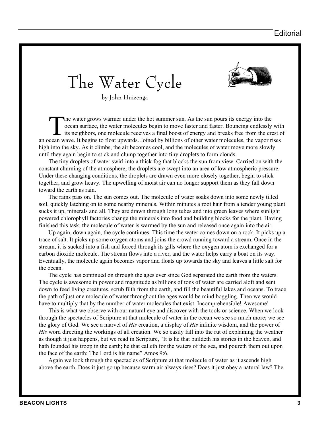The Water Cycle



by John Huizenga

The water grows warmer under the hot summer sun. As the sun pours its energy into the ocean surface, the water molecules begin to move faster and faster. Bouncing endlessly with its neighbors, one molecule receives a final ocean surface, the water molecules begin to move faster and faster. Bouncing endlessly with an ocean wave. It begins to float upwards. Joined by billions of other water molecules, the vapor rises high into the sky. As it climbs, the air becomes cool, and the molecules of water move more slowly until they again begin to stick and clump together into tiny droplets to form clouds.

The tiny droplets of water swirl into a thick fog that blocks the sun from view. Carried on with the constant churning of the atmosphere, the droplets are swept into an area of low atmospheric pressure. Under these changing conditions, the droplets are drawn even more closely together, begin to stick together, and grow heavy. The upwelling of moist air can no longer support them as they fall down toward the earth as rain.

The rains pass on. The sun comes out. The molecule of water soaks down into some newly tilled soil, quickly latching on to some nearby minerals. Within minutes a root hair from a tender young plant sucks it up, minerals and all. They are drawn through long tubes and into green leaves where sunlight powered chlorophyll factories change the minerals into food and building blocks for the plant. Having finished this task, the molecule of water is warmed by the sun and released once again into the air.

Up again, down again, the cycle continues. This time the water comes down on a rock. It picks up a trace of salt. It picks up some oxygen atoms and joins the crowd running toward a stream. Once in the stream, it is sucked into a fish and forced through its gills where the oxygen atom is exchanged for a carbon dioxide molecule. The stream flows into a river, and the water helps carry a boat on its way. Eventually, the molecule again becomes vapor and floats up towards the sky and leaves a little salt for the ocean.

The cycle has continued on through the ages ever since God separated the earth from the waters. The cycle is awesome in power and magnitude as billions of tons of water are carried aloft and sent down to feed living creatures, scrub filth from the earth, and fill the beautiful lakes and oceans. To trace the path of just one molecule of water throughout the ages would be mind boggling. Then we would have to multiply that by the number of water molecules that exist. Incomprehensible! Awesome!

This is what we observe with our natural eye and discover with the tools or science. When we look through the spectacles of Scripture at that molecule of water in the ocean we see so much more; we see the glory of God. We see a marvel of *His* creation, a display of *His* infinite wisdom, and the power of *His* word directing the workings of all creation. We so easily fall into the rut of explaining the weather as though it just happens, but we read in Scripture, "It is he that buildeth his stories in the heaven, and hath founded his troop in the earth; he that calleth for the waters of the sea, and poureth them out upon the face of the earth: The Lord is his name" Amos 9:6.

Again we look through the spectacles of Scripture at that molecule of water as it ascends high above the earth. Does it just go up because warm air always rises? Does it just obey a natural law? The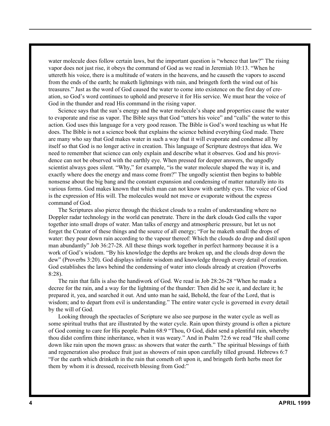water molecule does follow certain laws, but the important question is "whence that law?" The rising vapor does not just rise, it obeys the command of God as we read in Jeremiah 10:13. "When he uttereth his voice, there is a multitude of waters in the heavens, and he causeth the vapors to ascend from the ends of the earth; he maketh lightnings with rain, and bringeth forth the wind out of his treasures." Just as the word of God caused the water to come into existence on the first day of creation, so God's word continues to uphold and preserve it for His service. We must hear the voice of God in the thunder and read His command in the rising vapor.

Science says that the sun's energy and the water molecule's shape and properties cause the water to evaporate and rise as vapor. The Bible says that God "utters his voice" and "calls" the water to this action. God uses this language for a very good reason. The Bible is God's word teaching us what He does. The Bible is not a science book that explains the science behind everything God made. There are many who say that God makes water in such a way that it will evaporate and condense all by itself so that God is no longer active in creation. This language of Scripture destroys that idea. We need to remember that science can only explain and describe what it observes. God and his providence can not be observed with the earthly eye. When pressed for deeper answers, the ungodly scientist always goes silent. "Why," for example, "is the water molecule shaped the way it is, and exactly where does the energy and mass come from?" The ungodly scientist then begins to babble nonsense about the big bang and the constant expansion and condensing of matter naturally into its various forms. God makes known that which man can not know with earthly eyes. The voice of God is the expression of His will. The molecules would not move or evaporate without the express command of God.

The Scriptures also pierce through the thickest clouds to a realm of understanding where no Doppler radar technology in the world can penetrate. There in the dark clouds God calls the vapor together into small drops of water. Man talks of energy and atmospheric pressure, but let us not forget the Creator of these things and the source of all energy; "For he maketh small the drops of water: they pour down rain according to the vapour thereof: Which the clouds do drop and distil upon man abundantly" Job 36:27-28. All these things work together in perfect harmony because it is a work of God's wisdom. "By his knowledge the depths are broken up, and the clouds drop down the dew" (Proverbs 3:20). God displays infinite wisdom and knowledge through every detail of creation. God establishes the laws behind the condensing of water into clouds already at creation (Proverbs 8:28).

The rain that falls is also the handiwork of God. We read in Job 28:26-28 "When he made a decree for the rain, and a way for the lightning of the thunder: Then did he see it, and declare it; he prepared it, yea, and searched it out. And unto man he said, Behold, the fear of the Lord, that is wisdom; and to depart from evil is understanding." The entire water cycle is governed in every detail by the will of God.

Looking through the spectacles of Scripture we also see purpose in the water cycle as well as some spiritual truths that are illustrated by the water cycle. Rain upon thirsty ground is often a picture of God coming to care for His people. Psalm 68:9 "Thou, O God, didst send a plentiful rain, whereby thou didst confirm thine inheritance, when it was weary." And in Psalm 72:6 we read "He shall come down like rain upon the mown grass: as showers that water the earth." The spiritual blessings of faith and regeneration also produce fruit just as showers of rain upon carefully tilled ground. Hebrews 6:7 "For the earth which drinketh in the rain that cometh oft upon it, and bringeth forth herbs meet for them by whom it is dressed, receiveth blessing from God:"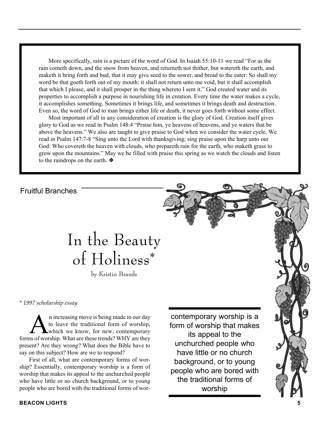More specifically, rain is a picture of the word of God. In Isaiah 55:10-11 we read "For as the rain cometh down, and the snow from heaven, and returneth not thither, but watereth the earth, and maketh it bring forth and bud, that it may give seed to the sower, and bread to the eater: So shall my word be that goeth forth out of my mouth: it shall not return unto me void, but it shall accomplish that which I please, and it shall prosper in the thing whereto I sent it." God created water and its properties to accomplish a purpose in nourishing life in creation. Every time the water makes a cycle, it accomplishes something. Sometimes it brings life, and sometimes it brings death and destruction. Even so, the word of God to man brings either life or death, it never goes forth without some effect.

Most important of all in any consideration of creation is the glory of God. Creation itself gives glory to God as we read in Psalm 148:4 "Praise him, ye heavens of heavens, and ye waters that be above the heavens." We also are taught to give praise to God when we consider the water cycle. We read in Psalm 147:7-8 "Sing unto the Lord with thanksgiving; sing praise upon the harp unto our God: Who covereth the heaven with clouds, who prepareth rain for the earth, who maketh grass to grow upon the mountains." May we be filled with praise this spring as we watch the clouds and listen to the raindrops on the earth. ❖

Fruitful Branches

# In the Beauty of Holiness\*

by Kristin Brands

*\* 1997 scholarship essay*

**A** increasing move is being made in our day<br>to leave the traditional form of worship,<br>which we know, for new, contemporary to leave the traditional form of worship, forms of worship. What are these trends? WHY are they present? Are they wrong? What does the Bible have to say on this subject? How are we to respond?

First of all, what are contemporary forms of worship? Essentially, contemporary worship is a form of worship that makes its appeal to the unchurched people who have little or no church background, or to young people who are bored with the traditional forms of wor-

contemporary worship is a form of worship that makes its appeal to the unchurched people who have little or no church background, or to young people who are bored with the traditional forms of worship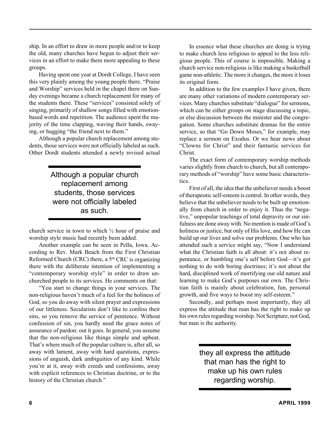ship. In an effort to draw in more people and/or to keep the old, many churches have begun to adjust their services in an effort to make them more appealing to these groups.

Having spent one year at Dordt College, I have seen this very plainly among the young people there. "Praise and Worship" services held in the chapel there on Sunday evenings became a church replacement for many of the students there. These "services" consisted solely of singing, primarily of shallow songs filled with emotionbased words and repetition. The audience spent the majority of the time clapping, waving their hands, swaying, or hugging "the friend next to them."

Although a popular church replacement among students, those services were not officially labeled as such. Other Dordt students attended a newly revised actual

> Although a popular church replacement among students, those services were not officially labeled as such.

church service in town to which ½ hour of praise and worship style music had recently been added.

Another example can be seen in Pella, Iowa. According to Rev. Mark Beach from the First Christian Reformed Church (CRC) there, a  $5<sup>th</sup>$  CRC is organizing there with the deliberate intention of implementing a "contemporary worship style" in order to draw unchurched people to its services. He comments on that:

"You start to change things in your services. The non-religious haven't much of a feel for the holiness of God, so you do away with silent prayer and expressions of our littleness. Secularists don't like to confess their sins, so you remove the service of penitence. Without confession of sin, you hardly need the grace notes of assurance of pardon: out it goes. In general, you assume that the non-religious like things simple and upbeat. That's where much of the popular culture is, after all, so away with lament, away with hard questions, expressions of anguish, dark ambiguities of any kind. While you're at it, away with creeds and confessions, away with explicit references to Christian doctrine, or to the history of the Christian church."

In essence what these churches are doing is trying to make church less religious to appeal to the less religious people. This of course is impossible. Making a church service non-religious is like making a basketball game non-athletic. The more it changes, the more it loses its original form.

In addition to the few examples I have given, there are many other variations of modern contemporary services. Many churches substitute "dialogue" for sermons, which can be either groups on stage discussing a topic, or else discussion between the minister and the congregation. Some churches substitute dramas for the entire service, so that "Go Down Moses," for example, may replace a sermon on Exodus. Or we hear news about "Clowns for Christ" and their fantastic services for **Christ** 

The exact form of contemporary worship methods varies slightly from church to church, but all contemporary methods of "worship" have some basic characteristics.

First of all, the idea that the unbeliever needs a boost of therapeutic self-esteem is central. In other words, they believe that the unbeliever needs to be built up emotionally from church in order to enjoy it. Thus the "negative," unpopular teachings of total depravity or our sinfulness are done away with. No mention is made of God's holiness or justice, but only of His love, and how He can build up our lives and solve our problems. One who has attended such a service might say, "Now I understand what the Christian faith is all about: it's not about repentance, or humbling one's self before God—it's got nothing to do with boring doctrines; it's not about the hard, disciplined work of mortifying our old nature and learning to make God's purposes our own. The Christian faith is mainly about celebration, fun, personal growth, and five ways to boost my self-esteem."

Secondly, and perhaps most importantly, they all express the attitude that man has the right to make up his own rules regarding worship. Not Scripture, not God, but man is the authority.

> they all express the attitude that man has the right to make up his own rules regarding worship.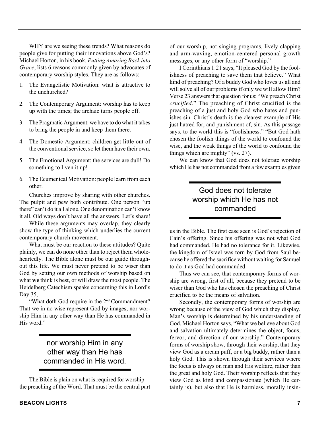WHY are we seeing these trends? What reasons do people give for putting their innovations above God's? Michael Horton, in his book, *Putting Amazing Back into Grace*, lists 6 reasons commonly given by advocates of contemporary worship styles. They are as follows:

- 1. The Evangelistic Motivation: what is attractive to the unchurched?
- 2. The Contemporary Argument: worship has to keep up with the times; the archaic turns people off.
- 3. The Pragmatic Argument: we have to do what it takes to bring the people in and keep them there.
- 4. The Domestic Argument: children get little out of the conventional service, so let them have their own.
- 5. The Emotional Argument: the services are dull! Do something to liven it up!
- 6. The Ecumenical Motivation: people learn from each other.

Churches improve by sharing with other churches. The pulpit and pew both contribute. One person "up there" can't do it all alone. One denomination can't know it all. Old ways don't have all the answers. Let's share!

While these arguments may overlap, they clearly show the type of thinking which underlies the current contemporary church movement.

What must be our reaction to these attitudes? Quite plainly, we can do none other than to reject them wholeheartedly. The Bible alone must be our guide throughout this life. We must never pretend to be wiser than God by setting our own methods of worship based on what **we** think is best, or will draw the most people. The Heidelberg Catechism speaks concerning this in Lord's Day 35,

"What doth God require in the 2<sup>nd</sup> Commandment? That we in no wise represent God by images, nor worship Him in any other way than He has commanded in His word."

### nor worship Him in any other way than He has commanded in His word.

The Bible is plain on what is required for worship the preaching of the Word. That must be the central part of our worship, not singing programs, lively clapping and arm-waving, emotion-centered personal growth messages, or any other form of "worship."

I Corinthians 1:21 says, "It pleased God by the foolishness of preaching to save them that believe." What kind of preaching? Of a buddy God who loves us all and will solve all of our problems if only we will allow Him? Verse 23 answers that question for us: "We preach Christ *crucified*." The preaching of Christ crucified is the preaching of a just and holy God who hates and punishes sin. Christ's death is the clearest example of His just hatred for, and punishment of, sin. As this passage says, to the world this is "foolishness." "But God hath chosen the foolish things of the world to confound the wise, and the weak things of the world to confound the things which are mighty" (vs. 27).

We can know that God does not tolerate worship which He has not commanded from a few examples given

### God does not tolerate worship which He has not commanded

us in the Bible. The first case seen is God's rejection of Cain's offering. Since his offering was not what God had commanded, He had no tolerance for it. Likewise, the kingdom of Israel was torn by God from Saul because he offered the sacrifice without waiting for Samuel to do it as God had commanded.

Thus we can see, that contemporary forms of worship are wrong, first of all, because they pretend to be wiser than God who has chosen the preaching of Christ crucified to be the means of salvation.

Secondly, the contemporary forms of worship are wrong because of the view of God which they display. Man's worship is determined by his understanding of God. Michael Horton says, "What we believe about God and salvation ultimately determines the object, focus, fervor, and direction of our worship." Contemporary forms of worship show, through their worship, that they view God as a cream puff, or a big buddy, rather than a holy God. This is shown through their services where the focus is always on man and His welfare, rather than the great and holy God. Their worship reflects that they view God as kind and compassionate (which He certainly is), but also that He is harmless, morally insin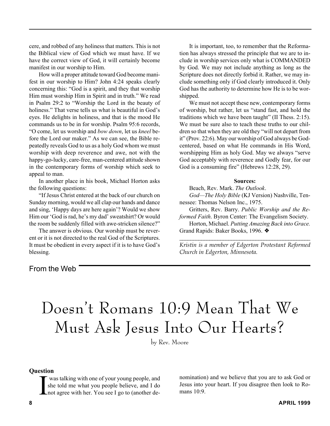cere, and robbed of any holiness that matters. This is not the Biblical view of God which we must have. If we have the correct view of God, it will certainly become manifest in our worship to Him.

How will a proper attitude toward God become manifest in our worship to Him? John 4:24 speaks clearly concerning this: "God is a spirit, and they that worship Him must worship Him in Spirit and in truth." We read in Psalm 29:2 to "Worship the Lord in the beauty of holiness." That verse tells us what is beautiful in God's eyes. He delights in holiness, and that is the mood He commands us to be in for worship. Psalm 95:6 records, "O come, let us worship and *bow down*, let us *kneel* before the Lord our maker." As we can see, the Bible repeatedly reveals God to us as a holy God whom we must worship with deep reverence and awe, not with the happy-go-lucky, care-free, man-centered attitude shown in the contemporary forms of worship which seek to appeal to man.

In another place in his book, Michael Horton asks the following questions:

"If Jesus Christ entered at the back of our church on Sunday morning, would we all clap our hands and dance and sing, 'Happy days are here again'? Would we show Him our 'God is rad, he's my dad' sweatshirt? Or would the room be suddenly filled with awe-stricken silence?"

The answer is obvious. Our worship must be reverent or it is not directed to the real God of the Scriptures. It must be obedient in every aspect if it is to have God's blessing.

### From the Web

It is important, too, to remember that the Reformation has always stressed the principle that we are to include in worship services only what is COMMANDED by God. We may not include anything as long as the Scripture does not directly forbid it. Rather, we may include something only if God clearly introduced it. Only God has the authority to determine how He is to be worshipped.

We must not accept these new, contemporary forms of worship, but rather, let us "stand fast, and hold the traditions which we have been taught" (II Thess. 2:15). We must be sure also to teach these truths to our children so that when they are old they "will not depart from it" (Prov. 22:6). May our worship of God always be Godcentered, based on what He commands in His Word, worshipping Him as holy God. May we always "serve God acceptably with reverence and Godly fear, for our God is a consuming fire" (Hebrews 12:28, 29).

#### **Sources:**

Beach, Rev. Mark. *The Outlook*.

*God—The Holy Bible* (KJ Version) Nashville, Tennessee: Thomas Nelson Inc., 1975.

Gritters, Rev. Barry. *Public Worship and the Reformed Faith*. Byron Center: The Evangelism Society.

Horton, Michael. *Putting Amazing Back into Grace.* Grand Rapids: Baker Books, 1996. ❖

*\_\_\_\_\_\_\_\_\_\_\_\_\_\_\_\_\_\_\_\_\_\_\_\_\_\_\_\_\_\_\_\_\_\_\_\_\_\_\_\_\_\_\_\_\_\_\_\_ Kristin is a member of Edgerton Protestant Reformed Church in Edgerton, Minnesota.*

## Doesn't Romans 10:9 Mean That We Must Ask Jesus Into Our Hearts?

by Rev. Moore

#### **Question**

I was talking with one of your young people, and she told me what you people believe, and I do not agree with her. You see I go to (another de-

nomination) and we believe that you are to ask God or Jesus into your heart. If you disagree then look to Romans 10:9.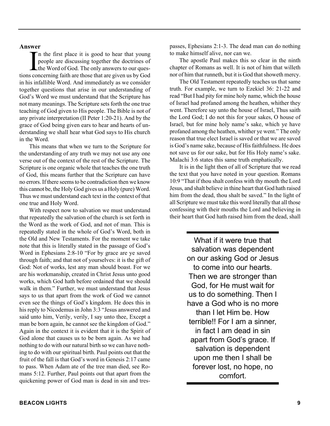#### **Answer**

I is well in the first place it is good to hear that young<br>people are discussing together the doctrines of<br>the Word of God. The only answers to our ques-<br>tions concerning faith are those that are given us by God n the first place it is good to hear that young people are discussing together the doctrines of the Word of God. The only answers to our quesin his infallible Word. And immediately as we consider together questions that arise in our understanding of God's Word we must understand that the Scripture has not many meanings. The Scripture sets forth the one true teaching of God given to His people. The Bible is not of any private interpretation (II Peter 1:20-21). And by the grace of God being given ears to hear and hearts of understanding we shall hear what God says to His church in the Word.

This means that when we turn to the Scripture for the understanding of any truth we may not use any one verse out of the context of the rest of the Scripture. The Scripture is one organic whole that teaches the one truth of God, this means further that the Scripture can have no errors. If there seems to be contradiction then we know this cannot be, the Holy God gives us a Holy (pure) Word. Thus we must understand each text in the context of that one true and Holy Word.

With respect now to salvation we must understand that repeatedly the salvation of the church is set forth in the Word as the work of God, and not of man. This is repeatedly stated in the whole of God's Word, both in the Old and New Testaments. For the moment we take note that this is literally stated in the passage of God's Word in Ephesians 2:8-10 "For by grace are ye saved through faith; and that not of yourselves: it is the gift of God: Not of works, lest any man should boast. For we are his workmanship, created in Christ Jesus unto good works, which God hath before ordained that we should walk in them." Further, we must understand that Jesus says to us that apart from the work of God we cannot even see the things of God's kingdom. He does this in his reply to Nicodemus in John 3:3 "Jesus answered and said unto him, Verily, verily, I say unto thee, Except a man be born again, he cannot see the kingdom of God." Again in the context it is evident that it is the Spirit of God alone that causes us to be born again. As we had nothing to do with our natural birth so we can have nothing to do with our spiritual birth. Paul points out that the fruit of the fall is that God's word in Genesis 2:17 came to pass. When Adam ate of the tree man died, see Romans 5:12. Further, Paul points out that apart from the quickening power of God man is dead in sin and trespasses, Ephesians 2:1-3. The dead man can do nothing to make himself alive, nor can we.

The apostle Paul makes this so clear in the ninth chapter of Romans as well. It is not of him that willeth nor of him that runneth, but it is God that showeth mercy.

The Old Testament repeatedly teaches us that same truth. For example, we turn to Ezekiel 36: 21-22 and read "But I had pity for mine holy name, which the house of Israel had profaned among the heathen, whither they went. Therefore say unto the house of Israel, Thus saith the Lord God; I do not this for your sakes, O house of Israel, but for mine holy name's sake, which ye have profaned among the heathen, whither ye went." The only reason that true elect Israel is saved or that we are saved is God's name sake, because of His faithfulness. He does not save us for our sake, but for His Holy name's sake. Malachi 3:6 states this same truth emphatically.

It is in the light then of all of Scripture that we read the text that you have noted in your question. Romans 10:9 "That if thou shalt confess with thy mouth the Lord Jesus, and shalt believe in thine heart that God hath raised him from the dead, thou shalt be saved." In the light of all Scripture we must take this word literally that all those confessing with their mouths the Lord and believing in their heart that God hath raised him from the dead, shall

> What if it were true that salvation was dependent on our asking God or Jesus to come into our hearts. Then we are stronger than God, for He must wait for us to do something. Then I have a God who is no more than I let Him be. How terrible!! For I am a sinner, in fact I am dead in sin apart from God's grace. If salvation is dependent upon me then I shall be forever lost, no hope, no comfort.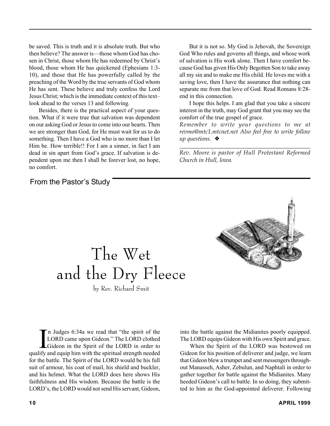be saved. This is truth and it is absolute truth. But who then believe? The answer is—those whom God has chosen in Christ, those whom He has redeemed by Christ's blood, those whom He has quickened (Ephesians 1:3- 10), and those that He has powerfully called by the preaching of the Word by the true servants of God whom He has sent. These believe and truly confess the Lord Jesus Christ; which is the immediate context of this text– look ahead to the verses 13 and following.

Besides, there is the practical aspect of your question. What if it were true that salvation was dependent on our asking God or Jesus to come into our hearts. Then we are stronger than God, for He must wait for us to do something. Then I have a God who is no more than I let Him be. How terrible!! For I am a sinner, in fact I am dead in sin apart from God's grace. If salvation is dependent upon me then I shall be forever lost, no hope, no comfort.

## From the Pastor's Study

But it is not so. My God is Jehovah, the Sovereign God Who rules and governs all things, and whose work of salvation is His work alone. Then I have comfort because God has given His Only Begotten Son to take away all my sin and to make me His child. He loves me with a saving love, then I have the assurance that nothing can separate me from that love of God. Read Romans 8:28 end in this connection.

I hope this helps. I am glad that you take a sincere interest in the truth, may God grant that you may see the comfort of the true gospel of grace.

*Remember to write your questions to me at revmo@mtc1.mtcnet.net Also feel free to write follow up questions.* ❖

*\_\_\_\_\_\_\_\_\_\_\_\_\_\_\_\_\_\_\_\_\_\_\_\_\_\_\_\_\_\_\_\_\_\_\_\_\_\_\_\_\_\_\_\_\_\_\_ Rev. Moore is pastor of Hull Protestant Reformed Church in Hull, Iowa.*

# The Wet and the Dry Fleece

by Rev. Richard Smit

In Judges 6:34a we read that "the spirit of the LORD came upon Gideon." The LORD clothed Gideon in the Spirit of the LORD in order to qualify and equip him with the spiritual strength needed n Judges 6:34a we read that "the spirit of the LORD came upon Gideon." The LORD clothed Gideon in the Spirit of the LORD in order to for the battle. The Spirit of the LORD would be his full suit of armour, his coat of mail, his shield and buckler, and his helmet. What the LORD does here shows His faithfulness and His wisdom. Because the battle is the LORD's, the LORD would not send His servant, Gideon,

into the battle against the Midianites poorly equipped. The LORD equips Gideon with His own Spirit and grace.

When the Spirit of the LORD was bestowed on Gideon for his position of deliverer and judge, we learn that Gideon blew a trumpet and sent messengers throughout Manasseh, Asher, Zebulun, and Naphtali in order to gather together for battle against the Midianites. Many heeded Gideon's call to battle. In so doing, they submitted to him as the God-appointed deliverer. Following

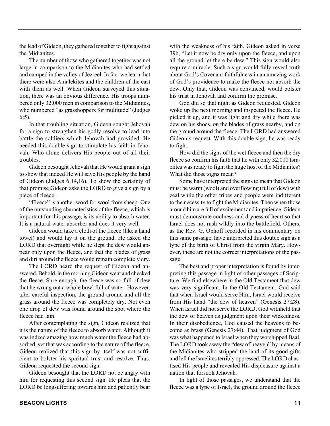the lead of Gideon, they gathered together to fight against the Midianites.

The number of those who gathered together was not large in comparison to the Midianites who had settled and camped in the valley of Jezreel. In fact we learn that there were also Amalekites and the children of the east with them as well. When Gideon surveyed this situation, there was an obvious difference. His troops numbered only 32,000 men in comparison to the Midianites, who numbered "as grasshoppers for multitude" (Judges 6:5).

In that troubling situation, Gideon sought Jehovah for a sign to strengthen his godly resolve to lead into battle the soldiers which Jehovah had provided. He needed this double sign to stimulate his faith in Jehovah, Who alone delivers His people out of all their troubles.

Gideon besought Jehovah that He would grant a sign to show that indeed He will save His people by the hand of Gideon (Judges 6:14,16). To show the certainty of that promise Gideon asks the LORD to give a sign by a piece of fleece.

"Fleece" is another word for wool from sheep. One of the outstanding characteristics of the fleece, which is important for this passage, is its ability to absorb water. It is a natural water absorber and does it very well.

Gideon would take a cloth of the fleece (like a hand towel) and would lay it on the ground. He asked the LORD that overnight while he slept the dew would appear only upon the fleece, and that the blades of grass and dirt around the fleece would remain completely dry.

The LORD heard the request of Gideon and answered. Behold, in the morning Gideon went and checked the fleece. Sure enough, the fleece was so full of dew that he wrung out a whole bowl full of water. However, after careful inspection, the ground around and all the grass around the fleece was completely dry. Not even one drop of dew was found around the spot where the fleece had lain.

After contemplating the sign, Gideon realized that it is the nature of the fleece to absorb water. Although it was indeed amazing how much water the fleece had absorbed, yet that was according to the nature of the fleece. Gideon realized that this sign by itself was not sufficient to bolster his spiritual trust and resolve. Thus, Gideon requested the second sign.

Gideon besought that the LORD not be angry with him for requesting this second sign. He pleas that the LORD be longsuffering towards him and patiently bear with the weakness of his faith. Gideon asked in verse 39b, "Let it now be dry only upon the fleece, and upon all the ground let there be dew." This sign would also require a miracle. Such a sign would fully reveal truth about God's Covenant faithfulness in an amazing work of God's providence to make the fleece not absorb the dew. Only that, Gideon was convinced, would bolster his trust in Jehovah and confirm the promise.

God did so that night as Gideon requested. Gideon woke up the next morning and inspected the fleece. He picked it up, and it was light and dry while there was dew on his shoes, on the blades of grass nearby, and on the ground around the fleece. The LORD had answered Gideon's request. With this double sign, he was ready to fight.

How did the signs of the wet fleece and then the dry fleece so confirm his faith that he with only 32,000 Israelites was ready to fight the huge host of the Midianites? What did those signs mean?

Some have interpreted the signs to mean that Gideon must be warm (wool) and overflowing (full of dew) with zeal while the other tribes and people were indifferent to the necessity to fight the Midianites. Then when those around him are full of excitement and impatience, Gideon must demonstrate coolness and dryness of heart so that Israel does not rush wildly into the battlefield. Others, as the Rev. G. Ophoff recorded in his commentary on this same passage, have interpreted this double sign as a type of the birth of Christ from the virgin Mary. However, these are not the correct interpretations of the passage.

The best and proper interpretation is found by interpreting this passage in light of other passages of Scripture. We find elsewhere in the Old Testament that dew was very significant. In the Old Testament, God said that when Israel would serve Him, Israel would receive from His hand "the dew of heaven" (Genesis 27:28). When Israel did not serve the LORD, God withheld that the dew of heaven as judgment upon their wickedness. In their disobedience, God caused the heavens to become as brass (Genesis 27:44). That judgment of God was what happened to Israel when they worshipped Baal. The LORD took away the "dew of heaven" by means of the Midianites who stripped the land of its good gifts and left the Israelites terribly oppressed. The LORD chastised His people and revealed His displeasure against a nation that forsook Jehovah.

In light of those passages, we understand that the fleece was a type of Israel, the ground around the fleece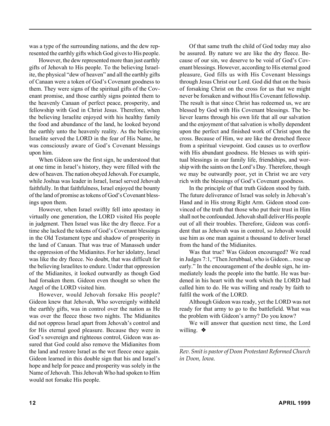was a type of the surrounding nations, and the dew represented the earthly gifts which God gives to His people.

However, the dew represented more than just earthly gifts of Jehovah to His people. To the believing Israelite, the physical "dew of heaven" and all the earthly gifts of Canaan were a token of God's Covenant goodness to them. They were signs of the spiritual gifts of the Covenant promise, and those earthly signs pointed them to the heavenly Canaan of perfect peace, prosperity, and fellowship with God in Christ Jesus. Therefore, when the believing Israelite enjoyed with his healthy family the food and abundance of the land, he looked beyond the earthly unto the heavenly reality. As the believing Israelite served the LORD in the fear of His Name, he was consciously aware of God's Covenant blessings upon him.

When Gideon saw the first sign, he understood that at one time in Israel's history, they were filled with the dew of heaven. The nation obeyed Jehovah. For example, while Joshua was leader in Israel, Israel served Jehovah faithfully. In that faithfulness, Israel enjoyed the bounty of the land of promise as tokens of God's Covenant blessings upon them.

However, when Israel swiftly fell into apostasy in virtually one generation, the LORD visited His people in judgment. Then Israel was like the dry fleece. For a time she lacked the tokens of God's Covenant blessings in the Old Testament type and shadow of prosperity in the land of Canaan. That was true of Manasseh under the oppression of the Midianites. For her idolatry, Israel was like the dry fleece. No doubt, that was difficult for the believing Israelites to endure. Under that oppression of the Midianites, it looked outwardly as though God had forsaken them. Gideon even thought so when the Angel of the LORD visited him.

However, would Jehovah forsake His people? Gideon knew that Jehovah, Who sovereignly withheld the earthly gifts, was in control over the nation as He was over the fleece those two nights. The Midianites did not oppress Israel apart from Jehovah's control and for His eternal good pleasure. Because they were in God's sovereign and righteous control, Gideon was assured that God could also remove the Midianites from the land and restore Israel as the wet fleece once again. Gideon learned in this double sign that his and Israel's hope and help for peace and prosperity was solely in the Name of Jehovah. This Jehovah Who had spoken to Him would not forsake His people.

Of that same truth the child of God today may also be assured. By nature we are like the dry fleece. Because of our sin, we deserve to be void of God's Covenant blessings. However, according to His eternal good pleasure, God fills us with His Covenant blessings through Jesus Christ our Lord. God did that on the basis of forsaking Christ on the cross for us that we might never be forsaken and without His Covenant fellowship. The result is that since Christ has redeemed us, we are blessed by God with His Covenant blessings. The believer learns through his own life that all our salvation and the enjoyment of that salvation is wholly dependent upon the perfect and finished work of Christ upon the cross. Because of Him, we are like the drenched fleece from a spiritual viewpoint. God causes us to overflow with His abundant goodness. He blesses us with spiritual blessings in our family life, friendships, and worship with the saints on the Lord's Day. Therefore, though we may be outwardly poor, yet in Christ we are very rich with the blessings of God's Covenant goodness.

In the principle of that truth Gideon stood by faith. The future deliverance of Israel was solely in Jehovah's Hand and in His strong Right Arm. Gideon stood convinced of the truth that those who put their trust in Him shall not be confounded. Jehovah shall deliver His people out of all their troubles. Therefore, Gideon was confident that as Jehovah was in control, so Jehovah would use him as one man against a thousand to deliver Israel from the hand of the Midianites.

Was that true? Was Gideon encouraged? We read in Judges 7:1, "Then Jerubbaal, who is Gideon... rose up early." In the encouragement of the double sign, he immediately leads the people into the battle. He was burdened in his heart with the work which the LORD had called him to do. He was willing and ready by faith to fulfil the work of the LORD.

Although Gideon was ready, yet the LORD was not ready for that army to go to the battlefield. What was the problem with Gideon's army? Do you know?

We will answer that question next time, the Lord willing. ❖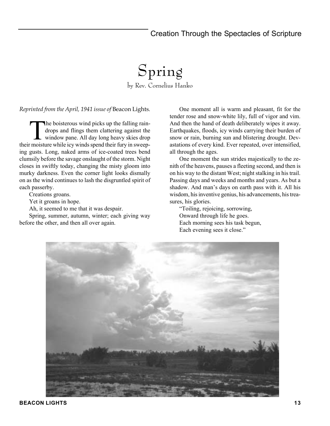## Creation Through the Spectacles of Scripture

## Spring by Rev. Cornelius Hanko

*Reprinted from the April, 1941 issue of* Beacon Lights*.*

The boisterous wind picks up the falling rain-<br>drops and flings them clattering against the<br>window pane. All day long heavy skies drop drops and flings them clattering against the their moisture while icy winds spend their fury in sweeping gusts. Long, naked arms of ice-coated trees bend clumsily before the savage onslaught of the storm. Night closes in swiftly today, changing the misty gloom into murky darkness. Even the corner light looks dismally on as the wind continues to lash the disgruntled spirit of each passerby.

Creations groans.

Yet it groans in hope.

Ah, it seemed to me that it was despair.

Spring, summer, autumn, winter; each giving way before the other, and then all over again.

One moment all is warm and pleasant, fit for the tender rose and snow-white lily, full of vigor and vim. And then the hand of death deliberately wipes it away. Earthquakes, floods, icy winds carrying their burden of snow or rain, burning sun and blistering drought. Devastations of every kind. Ever repeated, over intensified, all through the ages.

One moment the sun strides majestically to the zenith of the heavens, pauses a fleeting second, and then is on his way to the distant West; night stalking in his trail. Passing days and weeks and months and years. As but a shadow. And man's days on earth pass with it. All his wisdom, his inventive genius, his advancements, his treasures, his glories.

"Toiling, rejoicing, sorrowing, Onward through life he goes. Each morning sees his task begun, Each evening sees it close."

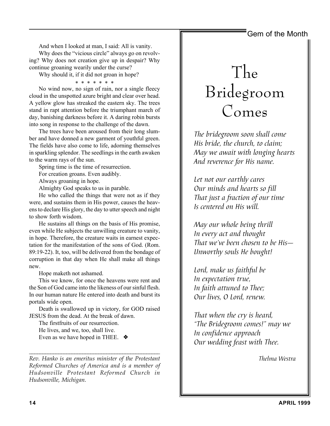## Gem of the Month

And when I looked at man, I said: All is vanity. Why does the "vicious circle" always go on revolving? Why does not creation give up in despair? Why

continue groaning wearily under the curse?

Why should it, if it did not groan in hope?

\* \* \* \* \* \* \* No wind now, no sign of rain, nor a single fleecy cloud in the unspotted azure bright and clear over head. A yellow glow has streaked the eastern sky. The trees stand in rapt attention before the triumphant march of day, banishing darkness before it. A daring robin bursts into song in response to the challenge of the dawn.

The trees have been aroused from their long slumber and have donned a new garment of youthful green. The fields have also come to life, adorning themselves in sparkling splendor. The seedlings in the earth awaken to the warm rays of the sun.

Spring time is the time of resurrection. For creation groans. Even audibly.

Always groaning in hope.

Almighty God speaks to us in parable.

He who called the things that were not as if they were, and sustains them in His power, causes the heavens to declare His glory, the day to utter speech and night to show forth wisdom.

He sustains all things on the basis of His promise, even while He subjects the unwilling creature to vanity, in hope. Therefore, the creature waits in earnest expectation for the manifestation of the sons of God. (Rom. 89:19-22). It, too, will be delivered from the bondage of corruption in that day when He shall make all things new.

Hope maketh not ashamed.

This we know, for once the heavens were rent and the Son of God came into the likeness of our sinful flesh. In our human nature He entered into death and burst its portals wide open.

Death is swallowed up in victory, for GOD raised JESUS from the dead. At the break of dawn.

The firstfruits of our resurrection. He lives, and we, too, shall live. Even as we have hoped in THEE. ❖

*Rev. Hanko is an emeritus minister of the Protestant Reformed Churches of America and is a member of Hudsonville Protestant Reformed Church in Hudsonville, Michigan.*

*\_\_\_\_\_\_\_\_\_\_\_\_\_\_\_\_\_\_\_\_\_\_\_\_\_\_\_\_\_\_\_\_\_\_\_\_\_\_\_\_\_\_\_\_\_\_\_\_\_*

## The Bridegroom Comes

*The bridegroom soon shall come His bride, the church, to claim; May we await with longing hearts And reverence for His name.*

*Let not our earthly cares Our minds and hearts so fill That just a fraction of our time Is centered on His will.*

*May our whole being thrill In every act and thought That we've been chosen to be His— Unworthy souls He bought!*

*Lord, make us faithful be In expectation true, In faith attuned to Thee; Our lives, O Lord, renew.*

*That when the cry is heard, "The Bridegroom comes!" may we In confidence approach Our wedding feast with Thee.*

*Thelma Westra*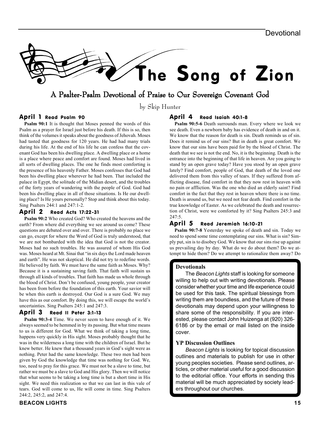

### A Psalter-Psalm Devotional of Praise to Our Sovereign Covenant God

by Skip Hunter

#### April 1 Read Psalm 90

**Psalm 90:1** It is thought that Moses penned the words of this Psalm as a prayer for Israel just before his death. If this is so, then think of the volumes it speaks about the goodness of Jehovah. Moses had tasted that goodness for 120 years. He had had many trials during his life. At the end of his life he can confess that the covenant God has been his dwelling place. A dwelling place or a home is a place where peace and comfort are found. Moses had lived in all sorts of dwelling places. The one he finds most comforting is the presence of his heavenly Father. Moses confesses that God had been his dwelling place wherever he had been. That included the palace in Egypt, the solitude of the Midian desert, and the troubles of the forty years of wandering with the people of God. God had been his dwelling place in all of those situations. Is He our dwelling place? Is He yours personally? Stop and think about this today. Sing Psalters 244:1 and 247:1-2.

#### April 2 Read Acts 17:22-31

**Psalm 90:2** Who created God? Who created the heavens and the earth? From where did everything we see around us come? These questions are debated over and over. There is probably no place we can go, except for where the Word of God is truly understood, that we are not bombarded with the idea that God is not the creator. Moses had no such troubles. He was assured of whom His God was. Moses heard at Mt. Sinai that "in six days the Lord made heaven and earth". He was not skeptical. He did not try to redefine words. He believed by faith. We must have the same faith as Moses. Why? Because it is a sustaining saving faith. That faith will sustain us through all kinds of troubles. That faith has made us whole through the blood of Christ. Don't be confused, young people, your creator has been from before the foundation of this earth. Your savior will be when this earth is destroyed. Our God is a sure God. We may have this as our comfort. By doing this, we will escape the world's uncertainties. Sing Psalters 245:1 and 247:3.

#### April 3 Read II Peter 3:1-13

**Psalm 90:3-4** Time. We never seem to have enough of it. We always seemed to be hemmed in by its passing. But what time means to us is different for God. What we think of taking a long time, happens very quickly in His sight. Moses probably thought that he was in the wilderness a long time with the children of Israel. But he knew better. He knew that a thousand years in God's sight were as nothing. Peter had the same knowledge. These two men had been given by God the knowledge that time was nothing for God. We, too, need to pray for this grace. We must not be a slave to time, but rather we must be a slave to God and His glory. Then we will notice that what seems to be taking a long time is but a short time in His sight. We need this realization so that we can last in this vale of tears. God will come to us, He will come in time. Sing Psalters 244:2, 245:2, and 247:4.

#### April 4 Read Isaiah 40:1-8

**Psalm 90:5-6** Death surrounds man. Every where we look we see death. Even a newborn baby has evidence of death in and on it. We know that the reason for death is sin. Death reminds us of sin. Does it remind us of our sins? But in death is great comfort. We know that our sins have been paid for by the blood of Christ. The death that we see is not the end. No, it is the beginning. Death is the entrance into the beginning of that life in heaven. Are you going to stand by an open grave today? Have you stood by an open grave lately? Find comfort, people of God, that death of the loved one delivered them from this valley of tears. If they suffered from afflicting disease, find comfort in that they now rest in heaven with no pain or affliction. Was the one who died an elderly saint? Find comfort in the fact that they rest in heaven where there is no time. Death is around us, but we need not fear death. Find comfort in the true knowledge of Easter. As we celebrated the death and resurrection of Christ, were we comforted by it? Sing Psalters 245:3 and 247:5.

#### April 5 Read Jeremiah 16:10-21

**Psalm 90:7-8** Yesterday we spoke of death and sin. Today we need to spend some time contemplating our sins. What is sin? Simply put, sin is to disobey God. We know that our sins rise up against us prevailing day by day. What do we do about them? Do we attempt to hide them? Do we attempt to rationalize them away? Do

#### **Devotionals**

The *Beacon Lights* staff is looking for someone willing to help out with writing devotionals. Please consider whether your time and life experience could be used for this task. The spiritual blessings from writing them are boundless, and the future of these devotionals may depend upon your willingness to share some of the responsibility. If you are interested, please contact John Huizenga at (920) 326- 6186 or by the email or mail listed on the inside cover.

#### **YP Discussion Outlines**

*Beacon Lights* is looking for topical discussion outlines and materials to publish for use in other young peoples societies. Please send outlines, articles, or other material useful for a good discussion to the editorial office. Your efforts in sending this material will be much appreciated by society leaders throughout our churches.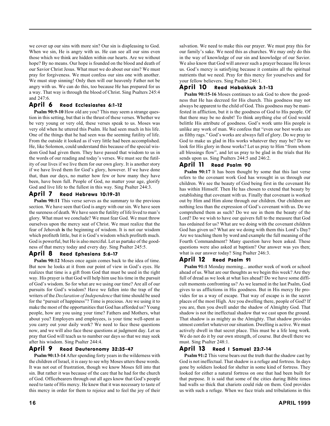we cover up our sins with more sin? Our sin is displeasing to God. When we sin, He is angry with us. He can see all our sins even those which we think are hidden within our hearts. Are we without hope? By no means. Our hope is founded on the blood and death of our Savior Christ Jesus. What must we do about our sins? We must pray for forgiveness. We must confess our sins one with another. We must stop sinning! Only then will our heavenly Father not be angry with us. We can do this, too because He has prepared for us a way. That way is through the blood of Christ. Sing Psalters 245:4 and 247:6.

#### April 6 Read Ecclesiastes 6:1-12

**Psalm 90:9-10** How old are you? This may seem a strange question in this setting, but that is the thrust of these verses. Whether we be very young or very old, these verses speak to us. Moses was very old when he uttered this Psalm. He had seen much in his life. One of the things that he had seen was the seeming futility of life. From the outside it looked as if very little had been accomplished. He, like Solomon, could understand this because of the special wisdom God had given them. They have passed that wisdom to us in the words of our reading and today's verses. We must see the futility of our lives if we live them for our own glory. It is another story if we have lived them for God's glory, however. If we have done that, than our days, no matter how few or how many they have been, have been full. People of God, no matter your age, glorify God and live life to the fullest in this way. Sing Psalter 244:3.

#### April 7 Read Hebrews 10:19-31

**Psalm 90:11** This verse serves as the summary to the previous section. We have seen that God is angry with our sin. We have seen the sureness of death. We have seen the futility of life lived to man's glory. What must we conclude? We must fear God. We must throw ourselves upon the mercy seat of Christ. We must realize that the fear of Jehovah **is** the beginning of wisdom. It is not our wisdom which profiteth little, but it is God's wisdom which profiteth much. God is powerful, but He is also merciful. Let us partake of the goodness of that mercy today and every day. Sing Psalter 245:5.

#### April 8 Read Ephesians 5:6-17

**Psalm 90:12** Moses once again comes back to the idea of time. But now he looks at it from our point of view in God's eyes. He realizes that time is a gift from God that must be used in the right way. His prayer is that God will help him use his time in the pursuit of God's wisdom. So for what are we using our time? Are all of our pursuits for God's wisdom? Have we fallen into the trap of the writers of the *Declaration of Independence* that time should be used for the "pursuit of happiness"? Time is precious. Are we using it to make the most of the opportunities that God has afforded us? Young people, how are you using your time? Fathers and Mothers, what about you? Employers and employees, is your time well-spent as you carry out your daily work? We need to face these questions now, and we will also face these questions at judgment day. Let us pray that God will teach us to number our days so that we may seek after his wisdom. Sing Psalter 244:4.

#### April 9 Read Deuteronomy 32:35-47

**Psalm 90:13-14** After spending forty years in the wilderness with the children of Israel, it is easy to see why Moses utters these words. It was not out of frustration, though we know Moses fell into that sin. But rather it was because of the care that he had for the church of God. Officebearers through out all ages know that God's people need to taste of His mercy. He knew that it was necessary to taste of this mercy in order for them to rejoice and to feel the joy of their salvation. We need to make this our prayer. We must pray this for our family's sake. We need this as churches. We may only do this in the way of knowledge of our sin and knowledge of our Savior. We also know that God will answer such a prayer because He loves us. God's mercy is satisfying because it contains all the spiritual nutrients that we need. Pray for this mercy for yourselves and for your fellow believers. Sing Psalter 246:1.

#### April 10 Read Habakkuk 3:1-13

**Psalm 90:15-16** Moses continues to ask God to show the goodness that He has decreed for His church. This goodness may not always be apparent to the child of God. This goodness may be manifested in affliction, but it is the goodness of God to His people. Of that there may be no doubt! To think anything else of God would belittle His attribute of goodness. God's work unto His people is unlike any work of man. We confess that "even our best works are as filthy rags." God's works are always full of glory. Do we pray to God to make us glad in His works whatever they may be? Do we look for His glory in those works? Let us pray to Him "from whom all blessings flow", and let us pray to be glad in the trials that He sends upon us. Sing Psalters 244:5 and 246:2.

#### April 11 Read Psalm 90

**Psalm 90:17** It has been thought by some that this last verse refers to the covenant work God has wrought in us through our children. We see the beauty of God being first in the covenant He has within Himself. Then He has chosen to extend that beauty by establishing that covenant with us. Finally that covenant is worked out by Him and Him alone through our children. Our children are nothing less than the expression of God's covenant with us. Do we comprehend them as such? Do we see in them the beauty of the Lord? Do we wish to have our quivers full to the measure that God has ordained for us? What are we doing with the covenant children God has given us? What are we doing with them this Lord's Day? Are we teaching them by word and example the full meaning of the Fourth Commandment? Many question have been asked. These questions were also asked at baptism? Our answer was yes then; what is our answer today? Sing Psalter 246:3.

#### April 12 Read Psalm 91

**Psalm 91:1** Monday morning... another week of work or school ahead of us. What are our thoughts as we begin this week? Are they full of dread as we look at what lies ahead? Do we have some difficult moments confronting us? As we learned in the last Psalm, God gives to us afflictions in His goodness. But in His mercy He provides for us a way of escape. That way of escape is in the secret places of the most High. Are you dwelling there, people of God? If you are, then you dwell under the shadow of Almighty God. That shadow is not the ineffectual shadow that we cast upon the ground. That shadow is as mighty as the Almighty. That shadow provides utmost comfort whatever our situation. Dwelling is active. We must actively dwell in that secret place. This must be a life long work. We do not do it by our own strength, of course. But dwell there we must. Sing Psalter 248:1.

#### April 13 Read I Samuel 23:7-14

**Psalm 91:2** This verse bears out the truth that the shadow cast by God is not ineffectual. That shadow is a refuge and fortress. In days gone by soldiers looked for shelter in some kind of fortress. They looked for either a natural fortress on one that had been built for that purpose. It is said that some of the cities during Bible times had walls so thick that chariots could ride on them. God provides us with such a refuge. When we face trials and tribulations in this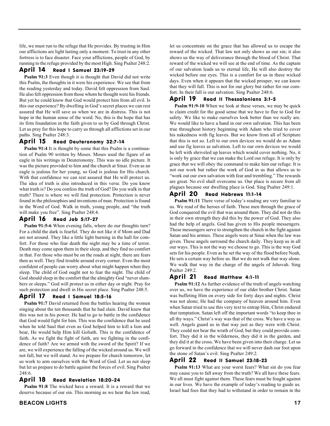life, we must run to the refuge that He provides. By trusting in Him our afflictions are light lasting only a moment. To trust in any other fortress is to face disaster. Face your afflictions, people of God, by running to the refuge provided by the most High. Sing Psalter 248:2.

#### April 14 Read I Samuel 23:19-29

**Psalm 91:3** Even though it is thought that David did not write this Psalm, the thoughts in it were his experience. We see that from the reading yesterday and today. David felt oppression from Saul. He also felt oppression from those whom he thought were his friends. But yet he could know that God would protect him from all evil. Is this our experience? By dwelling in God's secret places we can rest assured that He will save us when we are in distress. This is not hope in the human sense of the word. No, this is the hope that has its firm foundation in the faith given to us by God through Christ. Let us pray for this hope to carry us through all afflictions set in our paths. Sing Psalter 248:3.

#### April 15 Read Deuteronomy 32:7-14

**Psalm 91:4** It is thought by some that this Psalm is a continuation of Psalm 90 written by Moses. Moses used the figure of an eagle in his writings in Deuteronomy. This was no idle picture. It was the picture provided to him and the church at Sinai. Even as an eagle is jealous for her young, so God is jealous for His church. With that confidence we can rest assured that He will protect us. The idea of truth is also introduced in this verse. Do you know what truth is? Do you confess the truth of God? Do you walk in that truth? There is where we will find protection. Protection is never found in the philosophies and inventions of man. Protection is found in the Word of God. Walk in truth, young people, and "the truth will make you free". Sing Psalter 248:4.

#### April 16 Read Job 5:17-27

**Psalm 91:5-6** When evening falls, where do our thoughts turn? For a child the dark is fearful. They do not like it if Mom and Dad are not around. They like a little light burning in the hall for comfort. For those who fear death the night may be a time of terror. Death may come upon them in their sleep, and they find no comfort in that. For those who must be on the roads at night, there are fears then as well. They find trouble around every corner. Even the most confident of people can worry about what might happen when they sleep. The child of God ought not to fear the night. The child of God should sleep in the comfort that the almighty God "never slumbers or sleeps." God will protect us in either day or night. Pray for such protection and dwell in His secret place. Sing Psalter 248:5.

#### April 17 Read I Samuel 18:5-16

**Psalm 91:7** David returned from the battles hearing the women singing about the ten thousands that he had slain. David knew that this was not in his power. He had to go to battle in the confidence that God would fight for him. This was the confidence that he used when he told Saul that even as God helped him to kill a lion and bear, He would help Him kill Goliath. This is the confidence of faith. As we fight the fight of faith, are we fighting in the confidence of faith? Are we armed with the sword of the Spirit? If we are, we will experience the falling of the wicked around us. We will not fall, but we will stand. As we prepare for church tomorrow, let us work to arm ourselves with the Word of God. Let us not sleep but let us prepare to do battle against the forces of evil. Sing Psalter 248:6.

#### April 18 Read Revelation 18:20-24

**Psalm 91:8** The wicked have a reward. It is a reward that we deserve because of our sin. This morning as we hear the law read, let us concentrate on the grace that has allowed us to escape the reward of the wicked. That law not only shows us our sin; it also shows us the way of deliverance through the blood of Christ. That reward of the wicked we will see at the end of time. As the captain of our salvation leads us to eternal life, He will also destroy the wicked before our eyes. This is a comfort for us in these wicked days. Even when it appears that the wicked prosper, we can know that they will fall. This is not for our glory but rather for our comfort. In their fall is our salvation. Sing Psalter 248:6.

#### April 19 Read II Thessalonians 3:1-5

**Psalm 91:9-10** When we look at these verses, we may be quick to claim credit for the good sense that we have to flee to God for safety. We like to make ourselves look better than we really are. We would like to have a hand in our own salvation. This has been true throughout history beginning with Adam who tried to cover his nakedness with fig leaves. But we know from all of Scripture that this is not so. Left to our own devices we would do as Adam and use fig leaves as salvation. Left to our own devices we would be left with shriveled up leaves which would cover nothing. No, it is only by grace that we can make the Lord our refuge. It is only by grace that we will obey the command to make him our refuge. It is not our work but rather the work of God in us that allows us to "work out our own salvation with fear and trembling." The rewards are great. No evil shall overcome us. Our place is secure from all plagues because our dwelling place is God. Sing Psalter 249:1.

#### April 20 Read Hebrews 11:1-14

**Psalm 91:11** There verse of today's reading are very familiar to us. We read of the heroes of faith. These men through the grace of God conquered the evil that was around them. They did not do this in their own strength they did this by the power of God. They also had the help of angels. God has given to His people messengers. These messengers serve to strengthen the church in the fight against Satan and his armies. These angels were at Sinai when the law was given. These angels surround the church daily. They keep us in all our ways. This is not the way we choose to go. This is the way God sets for his people. Even as he set the way of the flood before Noah, He sets a certain way before us. But we do not walk that way alone. We walk that way in the charge of the angels of Jehovah. Sing Psalter 249:2.

#### April 21 Read Matthew 4:1-11

**Psalm 91:12** As further evidence of the truth of angels watching over us, we have the experience of our elder brother Christ. Satan was buffeting Him on every side for forty days and nights. Christ was not alone; He had the company of heaven around him. Even when Satan tried to use this very text to entrap Him, Christ endured that temptation. Satan left off the important words "to keep thee in all thy ways." Christ's way was that of the cross. We have a way as well. Angels guard us in that way just as they were with Christ. They could not bear the wrath of God, but they could provide comfort. They did it in the wilderness, they did it in the garden, and they did it at the cross. We have been given into their charge. Let us go forward in the confidence that we will never dash our foot upon the stone of Satan's evil. Sing Psalter 249:2.

#### April 22 Read II Samuel 23:18-23

**Psalm 91:13** What are your worst fears? What sin do you fear may cause you to fall away from the truth? We all have these fears. We all must fight against them. These fears must be fought against in our lives. We have the example of today's reading to guide us. Israel had foes that they had to withstand in order to remain in the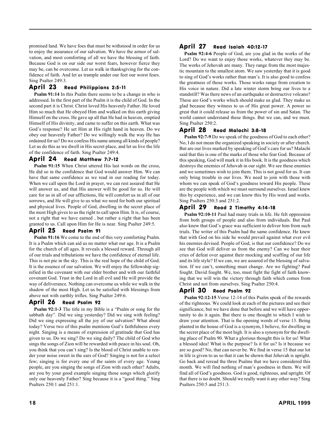promised land. We have foes that must be withstood in order for us to enjoy the assurance of our salvation. We have the armor of salvation, and most comforting of all we have the blessing of faith. Because God is on our side our worst fears, however fierce they may be, can be overcome. Let us walk in thanksgiving for the confidence of faith. And let us trample under our feet our worst fears. Sing Psalter 249:3.

#### April 23 Read Philippians 2:5-11

**Psalm 91:14** In this Psalm there seems to be a change in who is addressed. In the first part of the Psalm it is the child of God. In the second part it is Christ. Christ loved His heavenly Father. He loved Him so much that He obeyed Him and walked on this earth giving Himself on the cross. He gave up all that He had in heaven, emptied Himself of His divinity, and came to suffer on this earth. What was God's response? He set Him at His right hand in heaven. Do we obey our heavenly Father? Do we willingly walk the way He has ordained for us? Do we confess His name among all kinds of people? Let us do this as we dwell in His secret place, and let us live the life of the confidence of faith. Sing Psalter 249:4.

#### April 24 Read Matthew 7:7-12

**Psalm 91:15** When Christ uttered His last words on the cross, He did so in the confidence that God would answer Him. We can have that same confidence as we read in our reading for today. When we call upon the Lord in prayer, we can rest assured that He will answer us, and that His answer will be good for us. He will care for us in all of our afflictions, He will comfort us in all of our sorrows, and He will give to us what we need for both our spiritual and physical lives. People of God, dwelling in the secret place of the most High gives to us the right to call upon Him. It is, of course, not a right that we have earned , but rather a right that has been granted to us. Call upon Him for He is near. Sing Psalter 249:5.

#### April 25 Read Psalm 91

**Psalm 91:16** We come to the end of this very comforting Psalm. It is a Psalm which can aid us no matter what our age. It is a Psalm for the church of all ages. It reveals a blessed reward. Through all of our trials and tribulations we have the confidence of eternal life. This is not pie in the sky. This is the real hope of the child of God. It is the essence of our salvation. We will enjoy the fellowship signified in the covenant with our elder brother and with our faithful covenant God. Trust in the Lord in all evil and He will provide the way of deliverance. Nothing can overcome us while we walk in the shadow of the most High. Let us be satisfied with blessings from above not with earthly trifles. Sing Psalter 249:6.

#### April 26 Read Psalm 92

**Psalm 92:1-3** The title in my Bible is a "Psalm or song for the sabbath day". Did we sing yesterday? Did we sing with feeling? Did we sing expressing all the joy of our salvation? What about today? Verse two of this psalm mentions God's faithfulness every night. Singing is a means of expression of gratitude that God has given to us. Do we sing? Do we sing daily? The child of God who sings the songs of Zion will be rewarded with peace in his soul. Oh, you think that you can't sing? Is the blood of Christ unable to render your noise sweet in the ears of God? Singing is not for a select few; singing is for every one of the saints of every age. Young people, are you singing the songs of Zion with each other? Adults, are you by your good example singing those songs which glorify only our heavenly Father? Sing because it is a "good thing." Sing Psalters 250:1 and 251:1.

#### April 27 Read Isaiah 40:12-17

**Psalm 92:4-6** People of God, are you glad in the works of the Lord? Do we want to enjoy those works, whatever they may be. The works of Jehovah are many. They range from the most majestic mountain to the smallest atom. We saw yesterday that it is good to sing of God's works rather than man's. It is also good to confess the greatness of those works. Those works range from creation to His voice in nature. Did a late winter storm bring our lives to a standstill? Was there news of an earthquake or destructive volcano? These are God's works which should make us glad. They make us glad because they witness to us of His great power. A power so great that it could release us from the power of sin and Satan. The world cannot understand these things. But we can, and we must. Sing Psalter 250:2.

#### April 28 Read Malachi 3:8-18

**Psalm 92:7-9** Do we speak of the goodness of God to each other? No, I do not mean the organized speaking in society or after church. But are our lives marked by speaking of God's care for us? Malachi said that this is one of the marks of those who fear God. Because of this speaking, God will mark it in His book. It is the goodness which destroys the enemies of Jehovah in our sight. We see these enemies and we sometimes wish to join them. This is not good for us. It can only bring trouble in our lives. We need to join with those with whom we can speak of God's goodness toward His people. These are the people with which we must surround ourselves. Israel knew this by experience, and we can know this by His word and works. Sing Psalters 250:3 and 251:2.

#### April 29 Read 2 Timothy 4:14-18

**Psalm 92:10-11** Paul had many trials in life. He felt oppression from both groups of people and also from individuals. But Paul also knew that God's grace was sufficient to deliver him from such trials. The writer of this Psalm had the same confidence. He knew that with God on his side he would prevail against what ever evil his enemies devised. People of God, is that our confidence? Do we see that God will deliver us from the enemy? Can we hear their cries of defeat over against their mocking and scoffing of our life and its life style? If we can, we are assured of the blessing of salvation. If we can't, something must change. Are we fighting? Paul fought. David fought. We, too, must fight the fight of faith knowing that we will win the victory through faith which comes from Christ and not from ourselves. Sing Psalter 250:4.

#### April 30 Read Psalm 92

**Psalm 92:12-15** Verse 12-14 of this Psalm speak of the rewards of the righteous. We could look at each of the pictures and see their significance, but we have done that before and we will have opportunity to do it again. But there is one thought to which I wish to draw your attention. That is the opening words of verse 13. Being planted in the house of God is a synonym, I believe, for dwelling in the secret place of the most high. It is also a synonym for the dwelling place of Psalm 90. What a glorious thought this is for us! What a blessed idea! What is the purpose? Is it for us? Is it because we are so good? No, that can never be. We find in verse 15 that our lot in life is given to us so that it can be shown that Jehovah is upright. Go back and reread the three Psalms that we have considered this month. We will find nothing of man's goodness in them. We will find all of God's goodness. God is good, righteous, and upright. Of that there is no doubt. Should we really want it any other way? Sing Psalters 250:5 and 251:3.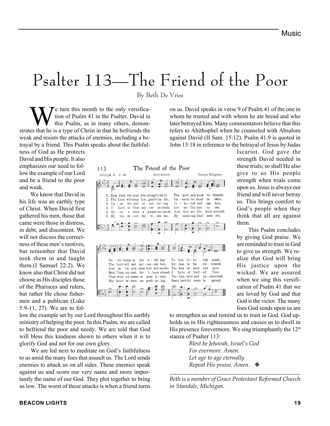## Psalter 113—The Friend of the Poor

By Beth De Vries

The Friend of the Poor

**BOUTHPORT** 

saf - fer-ing

vi - site me,

pass a - way,

gath - er - ing

We turn this month to the only versifica-<br>tion of Psalm 41 in the Psalter. David in<br>this Psalm, as in many others, demon-<br>cas that he is a type of Christ in that he befriends the tion of Psalm 41 in the Psalter. David in this Psalm, as in many others, demonstrates that he is a type of Christ in that he befriends the weak and resists the attacks of enemies, including a betrayal by a friend. This Psalm speaks about the faithful-

113

PSALM 41 C.M.

 $4.0$ 

5.315

6. Mv

De

And

1. How hiest the man who thought-ful-ly

2. The Lord will keep him, guard his life,

foe, de - ceit - ful.

Lord, to Thee my cry as-cends,

Go-"rance in the e - vil day

in his sick-ness-God will seethe

 $69$ 

The Lord will not sur-ren-der him

Heal Thou my sool. for

They wish my name to

His beart in-tent

 $\epsilon n$  -  $\epsilon$  - mies  $-$  a - gainst me speak. As  $k$ 

3. Up = on the hed of

ness of God as He protects David and His people. It also emphasizes our need to follow the example of our Lord and be a friend to the poor and weak.

 We know that David in his life was an earthly type of Christ. When David first gathered his men, those that came were those in distress, in debt, and discontent. We will not discuss the correctness of these men's motives, but remember that David took them in and taught them.(I Samuel 22:2). We know also that Christ did not choose as His disciples those of the Pharisees and rulers, but rather He chose fishermen and a publican (Luke 5:9-11, 27). We are to fol-

low the example set by our Lord throughout His earthly ministry of helping the poor. In this Psalm, we are called to befriend the poor and needy. We are told that God will bless this kindness shown to others when it is to glorify God and not for our own glory.

 We are led next to meditate on God's faithfulness to us amid the many foes that assault us. The Lord sends enemies to attack us on all sides. These enemies speak against us and scorn our very name and more importantly the name of our God. They plot together to bring us low. The worst of these attacks is when a friend turns on us. David speaks in verse 9 of Psalm 41 of the one in whom he trusted and with whom he ate bread and who later betrayed him. Many commentators believe that this refers to Ahithophel when he counseled with Absalom against David (II Sam. 15:12). Psalm 41:9 is quoted in John 13:18 in reference to the betrayal of Jesus by Judas

George Kingsley

blast: be.

sas - tain.

have scorned;

sonds.

pain.

Thee. an - mourned.

apread.

dis - tressed.

The prop and weak be - friends;

me Thymer - ey see;

seen-ing kind - ness led,

 $-$  vab

**to** 

earth he shall

bo - vab will

they my life

0n.

By

 $\mathop{\hbox{Tor}}$  -  $\lim_{\varepsilon\to 0} \mathop{\hbox{Jac}}$ 

By foss to be

Un- hon-ored and

Some lust-ful news

I have sinned, I have of - fent - ed.

The wea-ri-ness and

Ja – Lot

Iscariot. God gave the strength David needed in these trials; so shall He also give to us His people strength when trials come upon us. Jesus is always our friend and will never betray us. This brings comfort to God's people when they think that all are against them.

 This Psalm concludes by giving God praise. We are reminded to trust in God to give us strength. We realize that God will bring His justice upon the wicked. We are assured when we sing this versification of Psalm 41 that we are loved by God and that God is the victor. The many foes God sends upon us are

to strengthen us and remind us to trust in God. God upholds us in His righteousness and causes us to dwell in His presence forevermore. We sing triumphantly the  $12<sup>th</sup>$ stanza of Psalter 113:

> *Blest be Jehovah, Israel's God For evermore. Amen. Let age to age eternally Repeat His praise. Amen.* ❖

*Beth is a member of Grace Protestant Reformed Church in Standale, Michigan.*

*\_\_\_\_\_\_\_\_\_\_\_\_\_\_\_\_\_\_\_\_\_\_\_\_\_\_\_\_\_\_\_\_\_\_\_\_\_\_\_\_\_\_\_\_\_\_\_*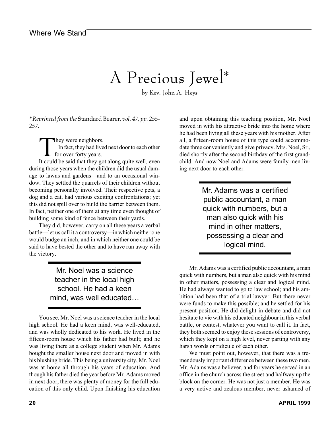## A Precious Jewel\*

by Rev. John A. Heys

*\* Reprinted from the* Standard Bearer, *vol. 47, pp. 255- 257.*

They were neighbors.<br>In fact, they had live<br>for over forty years. In fact, they had lived next door to each other for over forty years.

It could be said that they got along quite well, even during those years when the children did the usual damage to lawns and gardens—and to an occasional window. They settled the quarrels of their children without becoming personally involved. Their respective pets, a dog and a cat, had various exciting confrontations; yet this did not spill over to build the barrier between them. In fact, neither one of them at any time even thought of building some kind of fence between their yards.

They did, however, carry on all these years a verbal battle—let us call it a controversy—in which neither one would budge an inch, and in which neither one could be said to have bested the other and to have run away with the victory.

> Mr. Noel was a science teacher in the local high school. He had a keen mind, was well educated…

You see, Mr. Noel was a science teacher in the local high school. He had a keen mind, was well-educated, and was wholly dedicated to his work. He lived in the fifteen-room house which his father had built; and he was living there as a college student when Mr. Adams bought the smaller house next door and moved in with his blushing bride. This being a university city, Mr. Noel was at home all through his years of education. And though his father died the year before Mr. Adams moved in next door, there was plenty of money for the full education of this only child. Upon finishing his education

and upon obtaining this teaching position, Mr. Noel moved in with his attractive bride into the home where he had been living all these years with his mother. After all, a fifteen-room house of this type could accommodate three conveniently and give privacy. Mrs. Noel, Sr., died shortly after the second birthday of the first grandchild. And now Noel and Adams were family men living next door to each other.

> Mr. Adams was a certified public accountant, a man quick with numbers, but a man also quick with his mind in other matters, possessing a clear and logical mind.

Mr. Adams was a certified public accountant, a man quick with numbers, but a man also quick with his mind in other matters, possessing a clear and logical mind. He had always wanted to go to law school; and his ambition had been that of a trial lawyer. But there never were funds to make this possible; and he settled for his present position. He did delight in debate and did not hesitate to vie with his educated neighbour in this verbal battle, or contest, whatever you want to call it. In fact, they both seemed to enjoy these sessions of controversy, which they kept on a high level, never parting with any harsh words or ridicule of each other.

We must point out, however, that there was a tremendously important difference between these two men. Mr. Adams was a believer, and for years he served in an office in the church across the street and halfway up the block on the corner. He was not just a member. He was a very active and zealous member, never ashamed of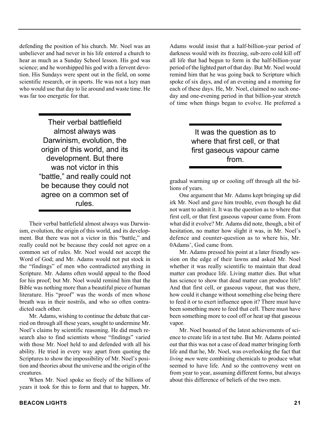defending the position of his church. Mr. Noel was an unbeliever and had never in his life entered a church to hear as much as a Sunday School lesson. His god was science; and he worshipped his god with a fervent devotion. His Sundays were spent out in the field, on some scientific research, or in sports. He was not a lazy man who would use that day to lie around and waste time. He was far too energetic for that.

> Their verbal battlefield almost always was Darwinism, evolution, the origin of this world, and its development. But there was not victor in this "battle," and really could not be because they could not agree on a common set of rules.

Their verbal battlefield almost always was Darwinism, evolution, the origin of this world, and its development. But there was not a victor in this "battle," and really could not be because they could not agree on a common set of rules. Mr. Noel would not accept the Word of God; and Mr. Adams would not put stock in the "findings" of men who contradicted anything in Scripture. Mr. Adams often would appeal to the flood for his proof; but Mr. Noel would remind him that the Bible was nothing more than a beautiful piece of human literature. His "proof" was the words of men whose breath was in their nostrils, and who so often contradicted each other.

Mr. Adams, wishing to continue the debate that carried on through all these years, sought to undermine Mr. Noel's claims by scientific reasoning. He did much research also to find scientists whose "findings" varied with those Mr. Noel held to and defended with all his ability. He tried in every way apart from quoting the Scriptures to show the impossibility of Mr. Noel's position and theories about the universe and the origin of the creatures.

When Mr. Noel spoke so freely of the billions of years it took for this to form and that to happen, Mr.

Adams would insist that a half-billion-year period of darkness would with its freezing, sub-zero cold kill off all life that had begun to form in the half-billion-year period of the lighted part of that day. But Mr. Noel would remind him that he was going back to Scripture which spoke of six days, and of an evening and a morning for each of these days. He, Mr. Noel, claimed no such oneday and one-evening period in that billion-year stretch of time when things began to evolve. He preferred a

> It was the question as to where that first cell, or that first gaseous vapour came from.

gradual warming up or cooling off through all the billions of years.

One argument that Mr. Adams kept bringing up did irk Mr. Noel and gave him trouble, even though he did not want to admit it. It was the question as to where that first cell, or that first gaseous vapour came from. From what did it evolve? Mr. Adams did note, though, a bit of hesitation, no matter how slight it was, in Mr. Noel's defence and counter-question as to where his, Mr. 0Adams', God came from.

Mr. Adams pressed his point at a later friendly session on the edge of their lawns and asked Mr. Noel whether it was really scientific to maintain that dead matter can produce life. Living matter dies. But what has science to show that dead matter can produce life? And that first cell, or gaseous vapour, that was there, how could it change without something else being there to feed it or to exert influence upon it? There must have been something more to feed that cell. There must have been something more to cool off or heat up that gaseous vapor.

Mr. Noel boasted of the latest achievements of science to create life in a test tube. But Mr. Adams pointed out that this was not a case of dead matter bringing forth life and that he, Mr. Noel, was overlooking the fact that *living men* were combining chemicals to produce what seemed to have life. And so the controversy went on from year to year, assuming different forms, but always about this difference of beliefs of the two men.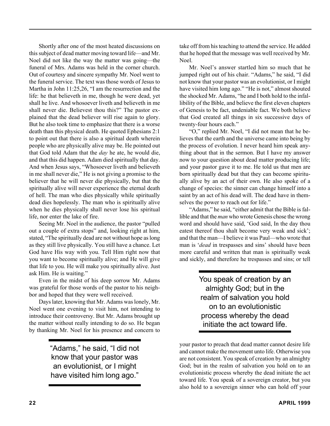Shortly after one of the most heated discussions on this subject of dead matter moving toward life—and Mr. Noel did not like the way the matter was going—the funeral of Mrs. Adams was held in the corner church. Out of courtesy and sincere sympathy Mr. Noel went to the funeral service. The text was those words of Jesus to Martha in John 11:25,26, "I am the resurrection and the life: he that believeth in me, though he were dead, yet shall he live. And whosoever liveth and believeth in me shall never die. Believest thou this?" The pastor explained that the dead believer will rise again to glory. But he also took time to emphasize that there is a worse death than this physical death. He quoted Ephesians 2:1 to point out that there is also a spiritual death wherein people who are physically alive may be. He pointed out that God told Adam that the *day* he ate, he would die, and that this did happen. Adam died spiritually that day. And when Jesus says, "Whosoever liveth and believeth in me shall never die," He is not giving a promise to the believer that he will never die physically, but that the spiritually alive will never experience the eternal death of hell. The man who dies physically while spiritually dead dies hopelessly. The man who is spiritually alive when he dies physically shall never lose his spiritual life, nor enter the lake of fire.

Seeing Mr. Noel in the audience, the pastor "pulled out a couple of extra stops" and, looking right at him, stated, "The spiritually dead are not without hope as long as they still live physically. You still have a chance. Let God have His way with you. Tell Him right now that you want to become spiritually alive; and He will give that life to you. He will make you spiritually alive. Just ask Him. He is waiting."

Even in the midst of his deep sorrow Mr. Adams was grateful for those words of the pastor to his neighbor and hoped that they were well received.

Days later, knowing that Mr. Adams was lonely, Mr. Noel went one evening to visit him, not intending to introduce their controversy. But Mr. Adams brought up the matter without really intending to do so. He began by thanking Mr. Noel for his presence and concern to

> "Adams," he said, "I did not know that your pastor was an evolutionist, or I might have visited him long ago."

take off from his teaching to attend the service. He added that he hoped that the message was well received by Mr. Noel.

Mr. Noel's answer startled him so much that he jumped right out of his chair. "Adams," he said, "I did not know that your pastor was an evolutionist, or I might have visited him long ago." "He is not," almost shouted the shocked Mr. Adams, "he and I both hold to the infallibility of the Bible, and believe the first eleven chapters of Genesis to be fact, undeniable fact. We both believe that God created all things in six successive days of twenty-four hours each."

"O," replied Mr. Noel, "I did not mean that he believes that the earth and the universe came into being by the process of evolution. I never heard him speak anything about that in the sermon. But I have my answer now to your question about dead matter producing life; and your pastor gave it to me. He told us that men are born spiritually dead but that they can become spiritually alive by an act of their own. He also spoke of a change of species: the sinner can change himself into a saint by an act of his dead will. The dead have in themselves the power to reach out for life."

"Adams," he said, "either admit that the Bible is fallible and that the *man* who wrote Genesis chose the wrong word and should have said, 'God said, In the day thou eatest thereof thou shalt become very weak and sick'; and that the man—I believe it was Paul—who wrote that man is '*dead* in trespasses and sins' should have been more careful and written that man is spiritually weak and sickly, and therefore he trespasses and sins; or tell

> You speak of creation by an almighty God; but in the realm of salvation you hold on to an evolutionistic process whereby the dead initiate the act toward life.

your pastor to preach that dead matter cannot desire life and cannot make the movement unto life. Otherwise you are not consistent. You speak of creation by an almighty God; but in the realm of salvation you hold on to an evolutionistic process whereby the dead initiate the act toward life. You speak of a sovereign creator, but you also hold to a sovereign sinner who can hold off your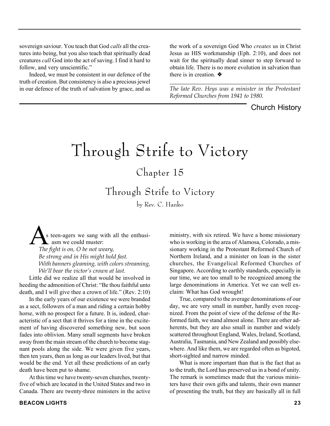sovereign saviour. You teach that God *calls* all the creatures into being, but you also teach that spiritually dead creatures *call* God into the act of saving. I find it hard to follow, and very unscientific."

Indeed, we must be consistent in our defence of the truth of creation. But consistency is also a precious jewel in our defence of the truth of salvation by grace, and as the work of a sovereign God Who *creates* us in Christ Jesus as HIS workmanship (Eph. 2:10), and does not wait for the spiritually dead sinner to step forward to obtain life. There is no more evolution in salvation than there is in creation. ❖

*\_\_\_\_\_\_\_\_\_\_\_\_\_\_\_\_\_\_\_\_\_\_\_\_\_\_\_\_\_\_\_\_\_\_\_\_\_\_\_\_\_\_\_\_\_\_\_ The late Rev. Heys was a minister in the Protestant Reformed Churches from 1941 to 1980.*

ministry, with six retired. We have a home missionary who is working in the area of Alamosa, Colorado, a missionary working in the Protestant Reformed Church of Northern Ireland, and a minister on loan in the sister churches, the Evangelical Reformed Churches of Singapore. According to earthly standards, especially in our time, we are too small to be recognized among the large denominations in America. Yet we can well ex-

True, compared to the average denominations of our day, we are very small in number, hardly even recognized. From the point of view of the defense of the Reformed faith, we stand almost alone. There are other ad-

Church History

# Through Strife to Victory

## Chapter 15

Through Strife to Victory

by Rev. C. Hanko

s teen-agers we sang with all the enthusi asm we could muster: *The fight is on, O be not weary, Be strong and in His might hold fast. With banners gleaming, with colors streaming, We'll bear the victor's crown at last.*

Little did we realize all that would be involved in heeding the admonition of Christ: "Be thou faithful unto death, and I will give thee a crown of life." (Rev. 2:10)

In the early years of our existence we were branded as a sect, followers of a man and riding a certain hobby horse, with no prospect for a future. It is, indeed, characteristic of a sect that it thrives for a time in the excitement of having discovered something new, but soon fades into oblivion. Many small segments have broken away from the main stream of the church to become stagnant pools along the side. We were given five years, then ten years, then as long as our leaders lived, but that would be the end. Yet all these predictions of an early death have been put to shame.

At this time we have twenty-seven churches, twentyfive of which are located in the United States and two in Canada. There are twenty-three ministers in the active

herents, but they are also small in number and widely scattered throughout England, Wales, Ireland, Scotland, Australia, Tasmania, and New Zealand and possibly elsewhere. And like them, we are regarded often as bigoted, short-sighted and narrow minded.

claim: What has God wrought!

What is more important than that is the fact that as to the truth, the Lord has preserved us in a bond of unity. The remark is sometimes made that the various ministers have their own gifts and talents, their own manner of presenting the truth, but they are basically all in full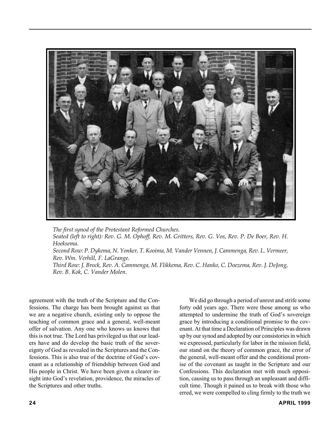

*The first synod of the Protestant Reformed Churches. Seated (left to right): Rev. G. M. Ophoff, Rev. M. Gritters, Rev. G. Vos, Rev. P. De Boer, Rev. H. Hoeksema. Second Row: P. Dykema, N. Yonker, T. Kooima, M. Vander Vennen, J. Cammenga, Rev. L. Vermeer, Rev. Wm. Verhill, F. LaGrange. Third Row: J. Brock, Rev. A. Cammenga, M. Flikkema, Rev. C. Hanko, C. Doezema, Rev. J. DeJong, Rev. B. Kok, C. Vander Molen.*

agreement with the truth of the Scripture and the Confessions. The charge has been brought against us that we are a negative church, existing only to oppose the teaching of common grace and a general, well-meant offer of salvation. Any one who knows us knows that this is not true. The Lord has privileged us that our leaders have and do develop the basic truth of the sovereignty of God as revealed in the Scriptures and the Confessions. This is also true of the doctrine of God's covenant as a relationship of friendship between God and His people in Christ. We have been given a clearer insight into God's revelation, providence, the miracles of the Scriptures and other truths.

We did go through a period of unrest and strife some forty odd years ago. There were those among us who attempted to undermine the truth of God's sovereign grace by introducing a conditional promise to the covenant. At that time a Declaration of Principles was drawn up by our synod and adopted by our consistories in which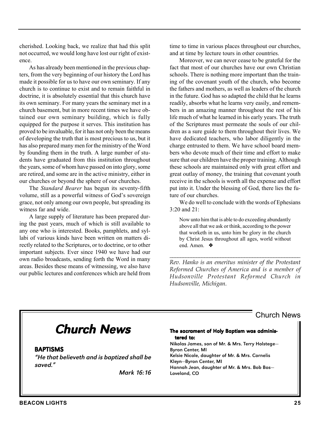cherished. Looking back, we realize that had this split not occurred, we would long have lost our right of existence.

As has already been mentioned in the previous chapters, from the very beginning of our history the Lord has made it possible for us to have our own seminary. If any church is to continue to exist and to remain faithful in doctrine, it is absolutely essential that this church have its own seminary. For many years the seminary met in a church basement, but in more recent times we have obtained our own seminary building, which is fully equipped for the purpose it serves. This institution has proved to be invaluable, for it has not only been the means of developing the truth that is most precious to us, but it has also prepared many men for the ministry of the Word by founding them in the truth. A large number of students have graduated from this institution throughout the years, some of whom have passed on into glory, some are retired, and some are in the active ministry, either in our churches or beyond the sphere of our churches.

The *Standard Bearer* has begun its seventy-fifth volume, still as a powerful witness of God's sovereign grace, not only among our own people, but spreading its witness far and wide.

A large supply of literature has been prepared during the past years, much of which is still available to any one who is interested. Books, pamphlets, and syllabi of various kinds have been written on matters directly related to the Scriptures, or to doctrine, or to other important subjects. Ever since 1940 we have had our own radio broadcasts, sending forth the Word in many areas. Besides these means of witnessing, we also have our public lectures and conferences which are held from time to time in various places throughout our churches, and at time by lecture tours in other countries.

Moreover, we can never cease to be grateful for the fact that most of our churches have our own Christian schools. There is nothing more important than the training of the covenant youth of the church, who become the fathers and mothers, as well as leaders of the church in the future. God has so adapted the child that he learns readily, absorbs what he learns very easily, and remembers in an amazing manner throughout the rest of his life much of what he learned in his early years. The truth of the Scriptures must permeate the souls of our children as a sure guide to them throughout their lives. We have dedicated teachers, who labor diligently in the charge entrusted to them. We have school board members who devote much of their time and effort to make sure that our children have the proper training. Although these schools are maintained only with great effort and great outlay of money, the training that covenant youth receive in the schools is worth all the expense and effort put into it. Under the blessing of God, there lies the future of our churches.

We do well to conclude with the words of Ephesians 3:20 and 21:

Now unto him that is able to do exceeding abundantly above all that we ask or think, according to the power that worketh in us, unto him be glory in the church by Christ Jesus throughout all ages, world without end. Amen. ❖

*Rev. Hanko is an emeritus minister of the Protestant Reformed Churches of America and is a member of Hudsonville Protestant Reformed Church in Hudsonville, Michigan.*

*\_\_\_\_\_\_\_\_\_\_\_\_\_\_\_\_\_\_\_\_\_\_\_\_\_\_\_\_\_\_\_\_\_\_\_\_\_\_\_\_\_\_\_\_\_\_\_\_\_*

## Chur Church News

#### BAPTISMS

"He that believeth and is baptized shall be saved."

Mark 16:16

#### The sacrament of Holy Baptism was administered to: Nikolas James, son of Mr. & Mrs. Terry Holstege— Byron Center, MI Kelsie Nicole, daughter of Mr. & Mrs. Cornelis Kleyn—Byron Center, MI Hannah Jean, daughter of Mr. & Mrs. Bob Bos— Loveland, CO

Church News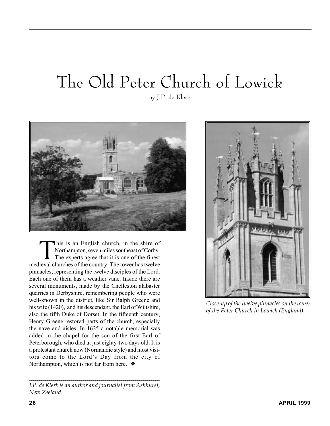# The Old Peter Church of Lowick

by J.P. de Klerk



This is an English church, in the shire of Northampton, seven miles southeast of Corby. The experts agree that it is one of the finest medieval churches of the country. The tower has twelve pinnacles, representing the twelve disciples of the Lord. Each one of them has a weather vane. Inside there are several monuments, made by the Chelleston alabaster quarries in Derbyshire, remembering people who were well-known in the district, like Sir Ralph Greene and his wife (1420), and his descendant, the Earl of Wiltshire, also the fifth Duke of Dorset. In the fifteenth century, Henry Greene restored parts of the church, especially the nave and aisles. In 1625 a notable memorial was added in the chapel for the son of the first Earl of Peterborough, who died at just eighty-two days old. It is a protestant church now (Normandic style) and most visitors come to the Lord's Day from the city of Northampton, which is not far from here. ❖



*Close-up of the twelve pinnacles on the tower of the Peter Church in Lowick (England).*

*\_\_\_\_\_\_\_\_\_\_\_\_\_\_\_\_\_\_\_\_\_\_\_\_\_\_\_\_\_\_\_\_\_\_\_\_\_\_\_\_\_\_\_\_\_\_\_\_\_\_\_\_\_\_\_\_\_\_\_\_\_\_\_\_\_ J.P. de Klerk is an author and journalist from Ashhurst, New Zeeland.*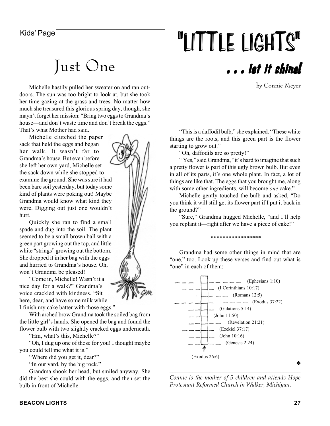# Kids' Page **1998 12 September 1998 11 THE LIGHTS"** . . . let it shine!

by Connie Meyer

Michelle hastily pulled her sweater on and ran outdoors. The sun was too bright to look at, but she took her time gazing at the grass and trees. No matter how much she treasured this glorious spring day, though, she mayn't forget her mission: "Bring two eggs to Grandma's house—and don't waste time and don't break the eggs." That's what Mother had said.

Just One

Michelle clutched the paper sack that held the eggs and began her walk. It wasn't far to Grandma's house. But even before she left her own yard, Michelle set the sack down while she stopped to examine the ground. She was sure it had been bare soil yesterday, but today some kind of plants were poking out! Maybe Grandma would know what kind they were. Digging out just one wouldn't hurt.

Quickly she ran to find a small spade and dug into the soil. The plant seemed to be a small brown ball with a green part growing out the top, and little white "strings" growing out the bottom. She dropped it in her bag with the eggs and hurried to Grandma's house. Oh, won't Grandma be pleased!

"Come in, Michelle! Wasn't it a nice day for a walk?" Grandma's voice crackled with kindness. "Sit here, dear, and have some milk while I finish my cake batter with those eggs."

With arched brow Grandma took the soiled bag from the little girl's hands. She opened the bag and found the flower bulb with two slightly cracked eggs underneath.

"Hm, what's this, Michelle?"

"Oh, I dug up one of those for you! I thought maybe you could tell me what it is."

"Where did you get it, dear?"

"In our yard, by the big rock."

Grandma shook her head, but smiled anyway. She did the best she could with the eggs, and then set the bulb in front of Michelle.



"This is a daffodil bulb," she explained. "These white things are the roots, and this green part is the flower starting to grow out."

"Oh, daffodils are so pretty!"

" Yes," said Grandma, "it's hard to imagine that such a pretty flower is part of this ugly brown bulb. But even in all of its parts, it's one whole plant. In fact, a lot of things are like that. The eggs that you brought me, along with some other ingredients, will become *one* cake."

Michelle gently touched the bulb and asked, "Do you think it will still get its flower part if I put it back in the ground?"

"Sure," Grandma hugged Michelle, "and I'll help you replant it—right after we have a piece of cake!"

\*\*\*\*\*\*\*\*\*\*\*\*\*\*\*\*\*

Grandma had some other things in mind that are "one," too. Look up these verses and find out what is "one" in each of them:



*\_\_\_\_\_\_\_\_\_\_\_\_\_\_\_\_\_\_\_\_\_\_\_\_\_\_\_\_\_\_\_\_\_\_\_\_\_\_\_\_\_\_\_\_\_\_ Connie is the mother of 5 children and attends Hope Protestant Reformed Church in Walker, Michigan.*

❖